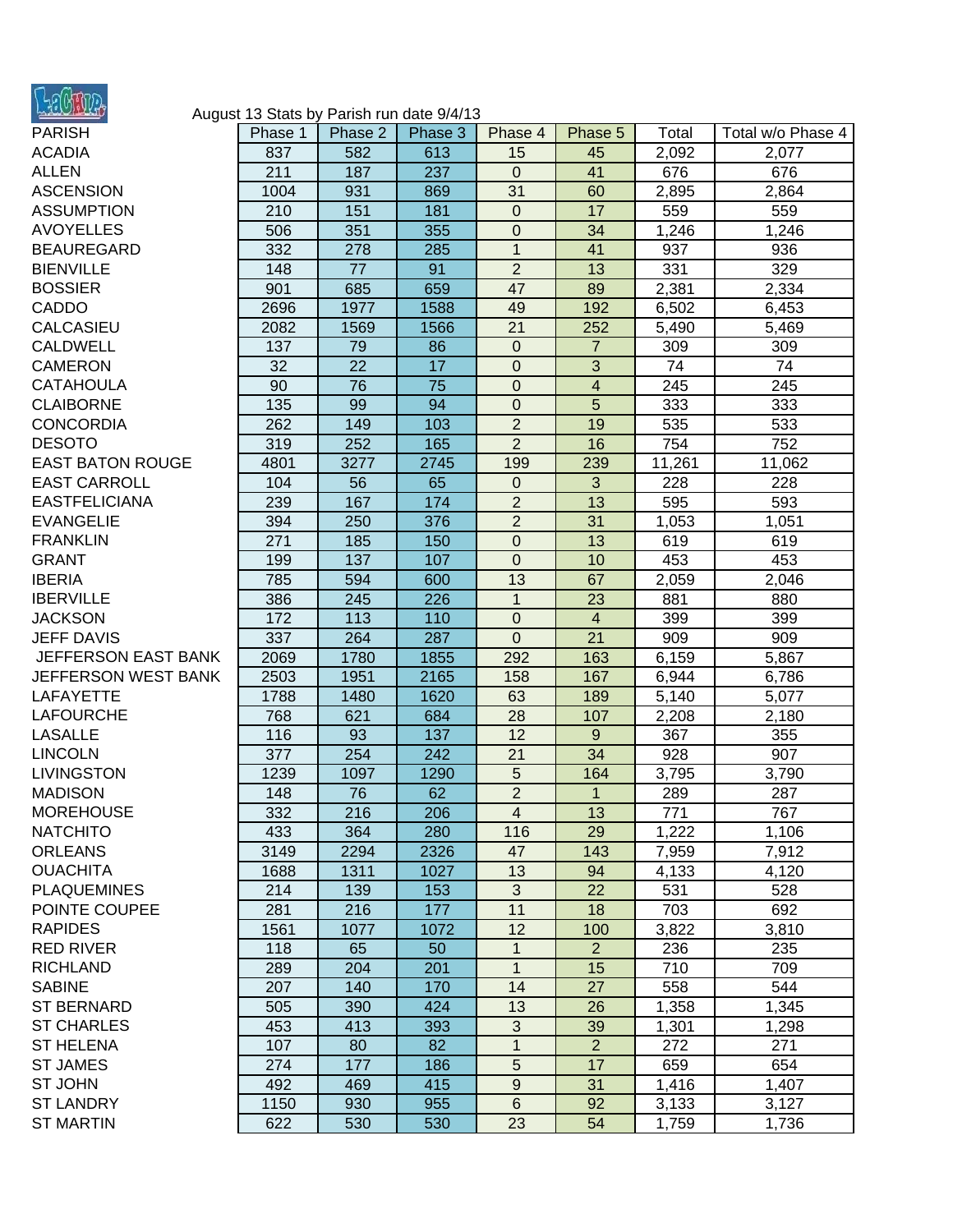

## August 13 Stats by Parish run date 9/4/13

| PARISH                  | Phase 1 | Phase 2 | Phase 3 | Phase 4          | Phase 5        | Total  | Total w/o Phase 4 |
|-------------------------|---------|---------|---------|------------------|----------------|--------|-------------------|
| <b>ACADIA</b>           | 837     | 582     | 613     | 15               | 45             | 2,092  | 2,077             |
| <b>ALLEN</b>            | 211     | 187     | 237     | $\mathbf{0}$     | 41             | 676    | 676               |
| <b>ASCENSION</b>        | 1004    | 931     | 869     | 31               | 60             | 2,895  | 2,864             |
| <b>ASSUMPTION</b>       | 210     | 151     | 181     | $\boldsymbol{0}$ | 17             | 559    | 559               |
| <b>AVOYELLES</b>        | 506     | 351     | 355     | $\boldsymbol{0}$ | 34             | 1,246  | 1,246             |
| BEAUREGARD              | 332     | 278     | 285     | $\mathbf{1}$     | 41             | 937    | 936               |
| <b>BIENVILLE</b>        | 148     | 77      | 91      | $\overline{2}$   | 13             | 331    | 329               |
| <b>BOSSIER</b>          | 901     | 685     | 659     | 47               | 89             | 2,381  | 2,334             |
| CADDO                   | 2696    | 1977    | 1588    | 49               | 192            | 6,502  | 6,453             |
| <b>CALCASIEU</b>        | 2082    | 1569    | 1566    | 21               | 252            | 5,490  | 5,469             |
| CALDWELL                | 137     | 79      | 86      | 0                | $\overline{7}$ | 309    | 309               |
| <b>CAMERON</b>          | 32      | 22      | 17      | $\boldsymbol{0}$ | $\overline{3}$ | 74     | 74                |
| <b>CATAHOULA</b>        | 90      | 76      | 75      | $\mathbf 0$      | $\overline{4}$ | 245    | 245               |
| <b>CLAIBORNE</b>        | 135     | 99      | 94      | $\boldsymbol{0}$ | 5              | 333    | 333               |
| <b>CONCORDIA</b>        | 262     | 149     | 103     | $\overline{c}$   | 19             | 535    | 533               |
| <b>DESOTO</b>           | 319     | 252     | 165     | $\overline{2}$   | 16             | 754    | 752               |
| <b>EAST BATON ROUGE</b> | 4801    | 3277    | 2745    | 199              | 239            | 11,261 | 11,062            |
| <b>EAST CARROLL</b>     | 104     | 56      | 65      | 0                | 3              | 228    | 228               |
| <b>EASTFELICIANA</b>    | 239     | 167     | 174     | $\overline{2}$   | 13             | 595    | 593               |
| <b>EVANGELIE</b>        | 394     | 250     | 376     | $\overline{2}$   | 31             | 1,053  | 1,051             |
| <b>FRANKLIN</b>         | 271     | 185     | 150     | $\mathbf 0$      | 13             | 619    | 619               |
| <b>GRANT</b>            | 199     | 137     | 107     | 0                | 10             | 453    | 453               |
| <b>IBERIA</b>           | 785     | 594     | 600     | 13               | 67             | 2,059  | 2,046             |
| <b>IBERVILLE</b>        | 386     | 245     | 226     | $\mathbf{1}$     | 23             | 881    | 880               |
| <b>JACKSON</b>          | 172     | 113     | 110     | 0                | $\overline{4}$ | 399    | 399               |
| <b>JEFF DAVIS</b>       | 337     | 264     | 287     | $\boldsymbol{0}$ | 21             | 909    | 909               |
| JEFFERSON EAST BANK     | 2069    | 1780    | 1855    | 292              | 163            | 6,159  | 5,867             |
| JEFFERSON WEST BANK     | 2503    | 1951    | 2165    | 158              | 167            | 6,944  | 6,786             |
| LAFAYETTE               | 1788    | 1480    | 1620    | 63               | 189            | 5,140  | 5,077             |
| LAFOURCHE               | 768     | 621     | 684     | 28               | 107            | 2,208  | 2,180             |
| <b>LASALLE</b>          | 116     | 93      | 137     | 12               | 9              | 367    | 355               |
| <b>LINCOLN</b>          | 377     | 254     | 242     | 21               | 34             | 928    | 907               |
| LIVINGSTON              | 1239    | 1097    | 1290    | 5                | 164            | 3,795  | 3,790             |
| MADISON                 | 148     | 76      | 62      | $\overline{2}$   | $\mathbf{1}$   | 289    | 287               |
| <b>MOREHOUSE</b>        | 332     | 216     | 206     | $\overline{4}$   | 13             | 771    | 767               |
| NATCHITO                | 433     | 364     | 280     | 116              | 29             | 1,222  | 1,106             |
| <b>ORLEANS</b>          | 3149    | 2294    | 2326    | 47               | 143            | 7,959  | 7,912             |
| <b>OUACHITA</b>         | 1688    | 1311    | 1027    | 13               | 94             | 4,133  | 4,120             |
| <b>PLAQUEMINES</b>      | 214     | 139     | 153     | 3                | 22             | 531    | 528               |
| POINTE COUPEE           | 281     | 216     | 177     | 11               | 18             | 703    | 692               |
| <b>RAPIDES</b>          | 1561    | 1077    | 1072    | 12               | 100            | 3,822  | 3,810             |
| <b>RED RIVER</b>        | 118     | 65      | 50      | 1                | $\overline{2}$ | 236    | 235               |
| <b>RICHLAND</b>         | 289     | 204     | 201     | $\mathbf{1}$     | 15             | 710    | 709               |
| <b>SABINE</b>           | 207     | 140     | 170     | 14               | 27             | 558    | 544               |
| <b>ST BERNARD</b>       | 505     | 390     | 424     | 13               | 26             | 1,358  | 1,345             |
| <b>ST CHARLES</b>       | 453     | 413     | 393     | $\mathbf{3}$     | 39             | 1,301  | 1,298             |
| <b>ST HELENA</b>        | 107     | 80      | 82      | $\mathbf{1}$     | $\overline{2}$ | 272    | 271               |
| <b>ST JAMES</b>         | 274     | 177     | 186     | $\sqrt{5}$       | 17             | 659    | 654               |
| ST JOHN                 | 492     | 469     | 415     | 9                | 31             | 1,416  | 1,407             |
| ST LANDRY               | 1150    | 930     | 955     | $\,6$            | 92             | 3,133  | 3,127             |
| <b>ST MARTIN</b>        | 622     | 530     | 530     | 23               | 54             | 1,759  | 1,736             |
|                         |         |         |         |                  |                |        |                   |